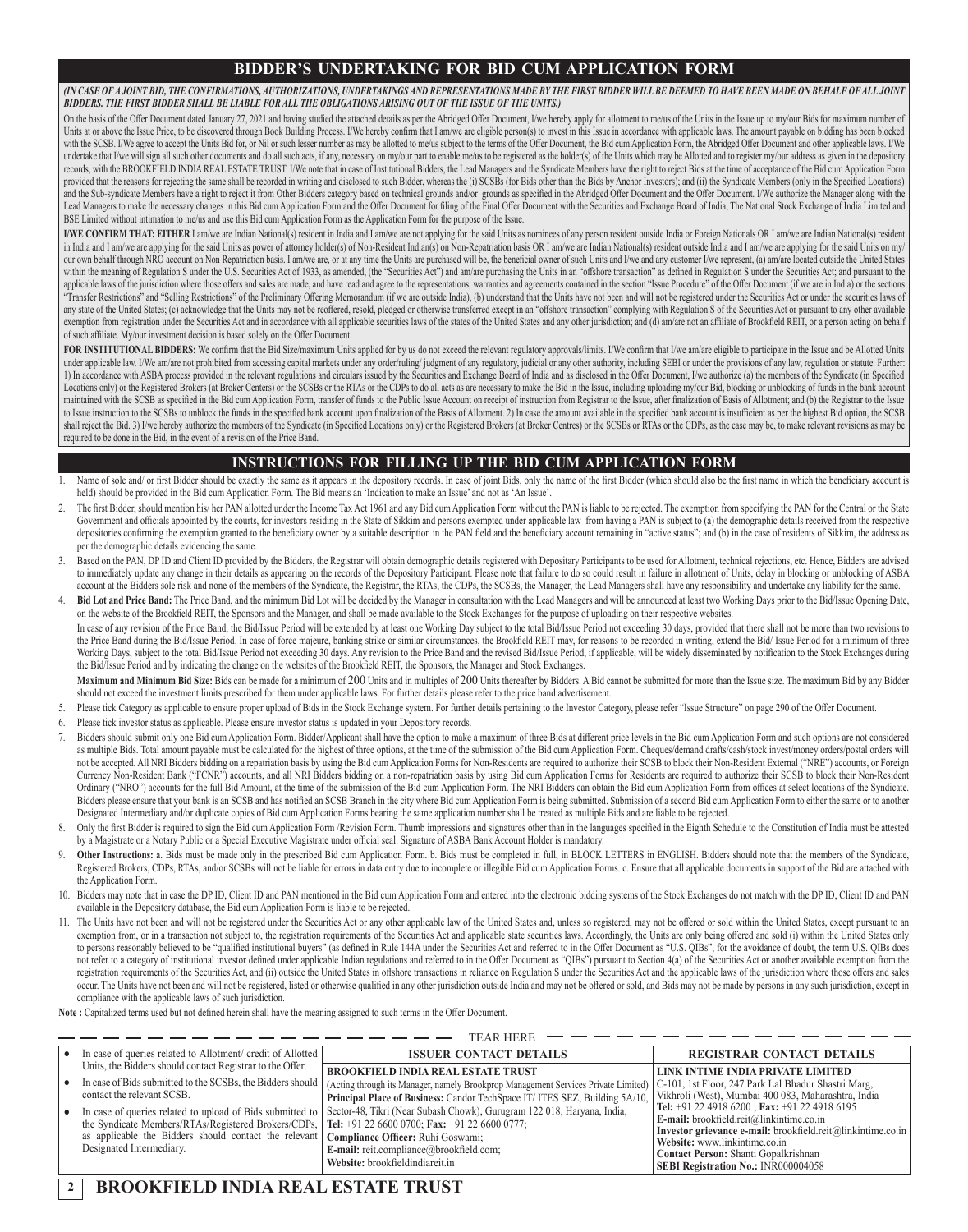#### **BIDDER'S UNDERTAKING FOR BID CUM APPLICATION FORM**

*(IN CASE OF A JOINT BID, THE CONFIRMATIONS, AUTHORIZATIONS, UNDERTAKINGS AND REPRESENTATIONS MADE BY THE FIRST BIDDER WILL BE DEEMED TO HAVE BEEN MADE ON BEHALF OF ALL JOINT BIDDERS. THE FIRST BIDDER SHALL BE LIABLE FOR ALL THE OBLIGATIONS ARISING OUT OF THE ISSUE OF THE UNITS.)*

On the basis of the Offer Document dated January 27, 2021 and having studied the attached details as per the Abridged Offer Document, I/we hereby apply for allotment to me/us of the Units in the Issue up to my/our Bids for Units at or above the Issue Price, to be discovered through Book Building Process. I/We hereby confirm that I am/we are eligible person(s) to invest in this Issue in accordance with applicable laws. The amount payable on b with the SCSB. I/We agree to accept the Units Bid for, or Nil or such lesser number as may be allotted to me/us subject to the terms of the Offer Document, the Bid cum Application Form, the Abridged Offer Document and othe undertake that I/we will sign all such other documents and do all such acts, if any, necessary on my/our part to enable me/us to be registered as the holder(s) of the Units which may be Allotted and to register my/our addr records, with the BROOKFIELD INDIA REAL ESTATE TRUST. I/We note that in case of Institutional Bidders, the Lead Managers and the Syndicate Members have the right to reject Bids at the time of acceptance of the Bid cum Appl provided that the reasons for rejecting the same shall be recorded in writing and disclosed to such Bidder, whereas the (i) SCSBs (for Bids other than the Bids by Anchor Investors); and (ii) the Syndicate Members (only in and the Sub-syndicate Members have a right to reject it from Other Bidders category based on technical grounds and/or grounds as specified in the Abridged Offer Document and the Offer Document. I/We authorize the Manager a Lead Managers to make the necessary changes in this Bid cum Application Form and the Offer Document for filing of the Final Offer Document with the Securities and Exchange Board of India, The National Stock Exchange of Ind BSE Limited without intimation to me/us and use this Bid cum Application Form as the Application Form for the purpose of the Issue.

I/WE CONFIRM THAT: EITHER I am/we are Indian National(s) resident in India and I am/we are not applying for the said Units as nominees of any person resident outside India or Foreign Nationals OR I am/we are Indian Nationa in India and I am/we are applying for the said Units as power of attorney holder(s) of Non-Resident Indian(s) on Non-Repatriation basis OR I am/we are Indian National(s) resident outside India and I am/we are applying for our own behalf through NRO account on Non Repatriation basis. I am/we are, or at any time the Units are purchased will be, the beneficial owner of such Units and I/we and any customer I/we represent, (a) am/are located out within the meaning of Regulation S under the U.S. Securities Act of 1933, as amended, (the "Securities Act") and am/are purchasing the Units in an "offshore transaction" as defined in Regulation S under the Securities Act; applicable laws of the jurisdiction where those offers and sales are made, and have read and agree to the representations, warranties and agreements contained in the section "Issue Procedure" of the Offer Document (if we a "Transfer Restrictions" and "Selling Restrictions" of the Preliminary Offering Memorandum (if we are outside India), (b) understand that the Units have not been and will not be registered under the Securities Act or under any state of the United States; (c) acknowledge that the Units may not be reoffered, resold, pledged or otherwise transferred except in an "offshore transaction" complying with Regulation S of the Securities Act or pursuan exemption from registration under the Securities Act and in accordance with all applicable securities laws of the states of the United States and any other jurisdiction; and (d) am/are not an affiliate of Brookfield REIT, of such affiliate. My/our investment decision is based solely on the Offer Document

FOR INSTITUTIONAL BIDDERS: We confirm that the Bid Size/maximum Units applied for by us do not exceed the relevant regulatory approvals/limits. I/We confirm that I/we am/are eligible to participate in the Issue and be Allo under applicable law. I/We am/are not prohibited from accessing capital markets under any order/ruling/ judgment of any regulatory, judicial or any other authority, including SEBI or under the provisions of any law, regula 1) In accordance with ASBA process provided in the relevant regulations and circulars issued by the Securities and Exchange Board of India and as disclosed in the Offer Document, I/we authorize (a) the members of the Syndi Locations only) or the Registered Brokers (at Broker Centers) or the SCSBs or the RTAs or the CDPs to do all acts as are necessary to make the Bid in the Issue, including uploading my/our Bid, blocking or unblocking of fun maintained with the SCSB as specified in the Bid cum Application Form, transfer of funds to the Public Issue Account on receipt of instruction from Registrar to the Issue, after finalization of Basis of Allotment; and (b) to Issue instruction to the SCSBs to unblock the funds in the specified bank account upon finalization of the Basis of Allotment. 2) In case the amount available in the specified bank account is insufficient as per the hig shall reject the Bid. 3) I/we hereby authorize the members of the Syndicate (in Specified Locations only) or the Registered Brokers (at Broker Centres) or the SCSBs or RTAs or the CDPs, as the case may be, to make relevant required to be done in the Bid, in the event of a revision of the Price Band.

#### **INSTRUCTIONS FOR FILLING UP THE BID CUM APPLICATION FORM**

- Name of sole and/ or first Bidder should be exactly the same as it appears in the depository records. In case of joint Bids, only the name of the first Bidder (which should also be the first name in which the beneficiary a held) should be provided in the Bid cum Application Form. The Bid means an 'Indication to make an Issue' and not as 'An Issue'.
- The first Bidder, should mention his/her PAN allotted under the Income Tax Act 1961 and any Bid cum Application Form without the PAN is liable to be rejected. The exemption from specifying the PAN for the Central or the St Government and officials appointed by the courts, for investors residing in the State of Sikkim and persons exempted under applicable law from having a PAN is subject to (a) the demographic details received from the respec depositories confirming the exemption granted to the beneficiary owner by a suitable description in the PAN field and the beneficiary account remaining in "active status"; and (b) in the case of residents of Sikkim, the ad per the demographic details evidencing the same.
- 3. Based on the PAN, DP ID and Client ID provided by the Bidders, the Registrar will obtain demographic details registered with Depositary Participants to be used for Allotment, technical rejections, etc. Hence, Bidders ar to immediately update any change in their details as appearing on the records of the Depository Participant. Please note that failure to do so could result in failure in allotment of Units, delay in blocking or unblocking account at the Bidders sole risk and none of the members of the Syndicate, the Registrar, the RTAs, the CDPs, the SCSBs, the Manager, the Lead Managers shall have any responsibility and undertake any liability for the same
- Bid Lot and Price Band: The Price Band, and the minimum Bid Lot will be decided by the Manager in consultation with the Lead Managers and will be announced at least two Working Days prior to the Bid/Issue Opening Date, on the website of the Brookfield REIT, the Sponsors and the Manager, and shall be made available to the Stock Exchanges for the purpose of uploading on their respective websites.

In case of any revision of the Price Band, the Bid/Issue Period will be extended by at least one Working Day subject to the total Bid/Issue Period not exceeding 30 days, provided that there shall not be more than two revis the Price Band during the Bid/Issue Period. In case of force majeure, banking strike or similar circumstances, the Brookfield REIT may, for reasons to be recorded in writing, extend the Bid/Issue Period for a minimum of th Working Days, subject to the total Bid/Issue Period not exceeding 30 days. Any revision to the Price Band and the revised Bid/Issue Period, if applicable, will be widely disseminated by notification to the Stock Exchanges the Bid/Issue Period and by indicating the change on the websites of the Brookfield REIT, the Sponsors, the Manager and Stock Exchanges.

Maximum and Minimum Bid Size: Bids can be made for a minimum of 200 Units and in multiples of 200 Units thereafter by Bidders. A Bid cannot be submitted for more than the Issue size. The maximum Bid by any Bidder should not exceed the investment limits prescribed for them under applicable laws. For further details please refer to the price band advertisement.

5. Please tick Category as applicable to ensure proper upload of Bids in the Stock Exchange system. For further details pertaining to the Investor Category, please refer "Issue Structure" on page 290 of the Offer Document.

- Please tick investor status as applicable. Please ensure investor status is updated in your Depository records.
- Bidders should submit only one Bid cum Application Form. Bidder/Applicant shall have the option to make a maximum of three Bids at different price levels in the Bid cum Application Form and such options are not considered as multiple Bids. Total amount payable must be calculated for the highest of three options, at the time of the submission of the Bid cum Application Form. Cheques/demand drafts/cash/stock invest/money orders/postal orders not be accepted. All NRI Bidders bidding on a repatriation basis by using the Bid cum Application Forms for Non-Residents are required to authorize their SCSB to block their Non-Resident External ("NRE") accounts, or Foreign Currency Non-Resident Bank ("FCNR") accounts, and all NRI Bidders bidding on a non-repatriation basis by using Bid cum Application Forms for Residents are required to authorize their SCSB to block their Non-Resident Ordinary ("NRO") accounts for the full Bid Amount, at the time of the submission of the Bid cum Application Form. The NRI Bidders can obtain the Bid cum Application Form from offices at select locations of the Syndicate. Bidders please ensure that your bank is an SCSB and has notified an SCSB Branch in the city where Bid cum Application Form is being submitted. Submission of a second Bid cum Application Form to either the same or to another Designated Intermediary and/or duplicate copies of Bid cum Application Forms bearing the same application number shall be treated as multiple Bids and are liable to be rejected.
- Only the first Bidder is required to sign the Bid cum Application Form /Revision Form. Thumb impressions and signatures other than in the languages specified in the Eighth Schedule to the Constitution of India must be atte by a Magistrate or a Notary Public or a Special Executive Magistrate under official seal. Signature of ASBA Bank Account Holder is mandatory.
- 9. **Other Instructions:** a. Bids must be made only in the prescribed Bid cum Application Form. b. Bids must be completed in full, in BLOCK LETTERS in ENGLISH. Bidders should note that the members of the Syndicate, Registered Brokers, CDPs, RTAs, and/or SCSBs will not be liable for errors in data entry due to incomplete or illegible Bid cum Application Forms. c. Ensure that all applicable documents in support of the Bid are attached the Application Form.
- 10. Bidders may note that in case the DP ID, Client ID and PAN mentioned in the Bid cum Application Form and entered into the electronic bidding systems of the Stock Exchanges do not match with the DP ID, Client ID and PAN available in the Depository database, the Bid cum Application Form is liable to be rejected.
- 11. The Units have not been and will not be registered under the Securities Act or any other applicable law of the United States and, unless so registered, may not be offered or sold within the United States, except pursua exemption from, or in a transaction not subject to, the registration requirements of the Securities Act and applicable state securities laws. Accordingly, the Units are only being offered and sold (i) within the United Sta to persons reasonably believed to be "qualified institutional buyers" (as defined in Rule 144A under the Securities Act and referred to in the Offer Document as "U.S. QIBs", for the avoidance of doubt, the term U.S. QIBs d not refer to a category of institutional investor defined under applicable Indian regulations and referred to in the Offer Document as "QIBs") pursuant to Section 4(a) of the Securities Act or another available exemption f registration requirements of the Securities Act, and (ii) outside the United States in offshore transactions in reliance on Regulation S under the Securities Act and the applicable laws of the jurisdiction where those offe occur. The Units have not been and will not be registered, listed or otherwise qualified in any other jurisdiction outside India and may not be offered or sold, and Bids may not be made by persons in any such jurisdiction, compliance with the applicable laws of such jurisdiction.

**Note :** Capitalized terms used but not defined herein shall have the meaning assigned to such terms in the Offer Document.

|                                                                                                                                                                                                                                           | <b>TEAR HERE</b>                                                                                                                                                                                               |                                                                                                                                                                                                                                                                                       |
|-------------------------------------------------------------------------------------------------------------------------------------------------------------------------------------------------------------------------------------------|----------------------------------------------------------------------------------------------------------------------------------------------------------------------------------------------------------------|---------------------------------------------------------------------------------------------------------------------------------------------------------------------------------------------------------------------------------------------------------------------------------------|
| In case of queries related to Allotment/ credit of Allotted                                                                                                                                                                               | <b>ISSUER CONTACT DETAILS</b>                                                                                                                                                                                  | <b>REGISTRAR CONTACT DETAILS</b>                                                                                                                                                                                                                                                      |
| Units, the Bidders should contact Registrar to the Offer.<br>In case of Bids submitted to the SCSBs, the Bidders should<br>contact the relevant SCSB.                                                                                     | <b>BROOKFIELD INDIA REAL ESTATE TRUST</b><br>(Acting through its Manager, namely Brookprop Management Services Private Limited)<br>Principal Place of Business: Candor TechSpace IT/ ITES SEZ, Building 5A/10, | LINK INTIME INDIA PRIVATE LIMITED<br>C-101, 1st Floor, 247 Park Lal Bhadur Shastri Marg,<br>Vikhroli (West), Mumbai 400 083, Maharashtra, India                                                                                                                                       |
| In case of queries related to upload of Bids submitted to<br>the Syndicate Members/RTAs/Registered Brokers/CDPs,<br>as applicable the Bidders should contact the relevant   Compliance Officer: Ruhi Goswami;<br>Designated Intermediary. | Sector-48, Tikri (Near Subash Chowk), Gurugram 122 018, Haryana, India;<br>Tel: $+91$ 22 6600 0700; Fax: $+91$ 22 6600 0777;<br>E-mail: reit.compliance@brookfield.com;<br>Website: brookfieldindiareit.in     | Tel: +91 22 4918 6200; Fax: +91 22 4918 6195<br><b>E-mail:</b> brookfield.reit@linkintime.co.in<br>Investor grievance e-mail: brookfield.reit@linkintime.co.in<br>Website: www.linkintime.co.in<br>Contact Person: Shanti Gopalkrishnan<br><b>SEBI Registration No.: INR000004058</b> |

# **2 BROOKFIELD INDIA REAL ESTATE TRUST**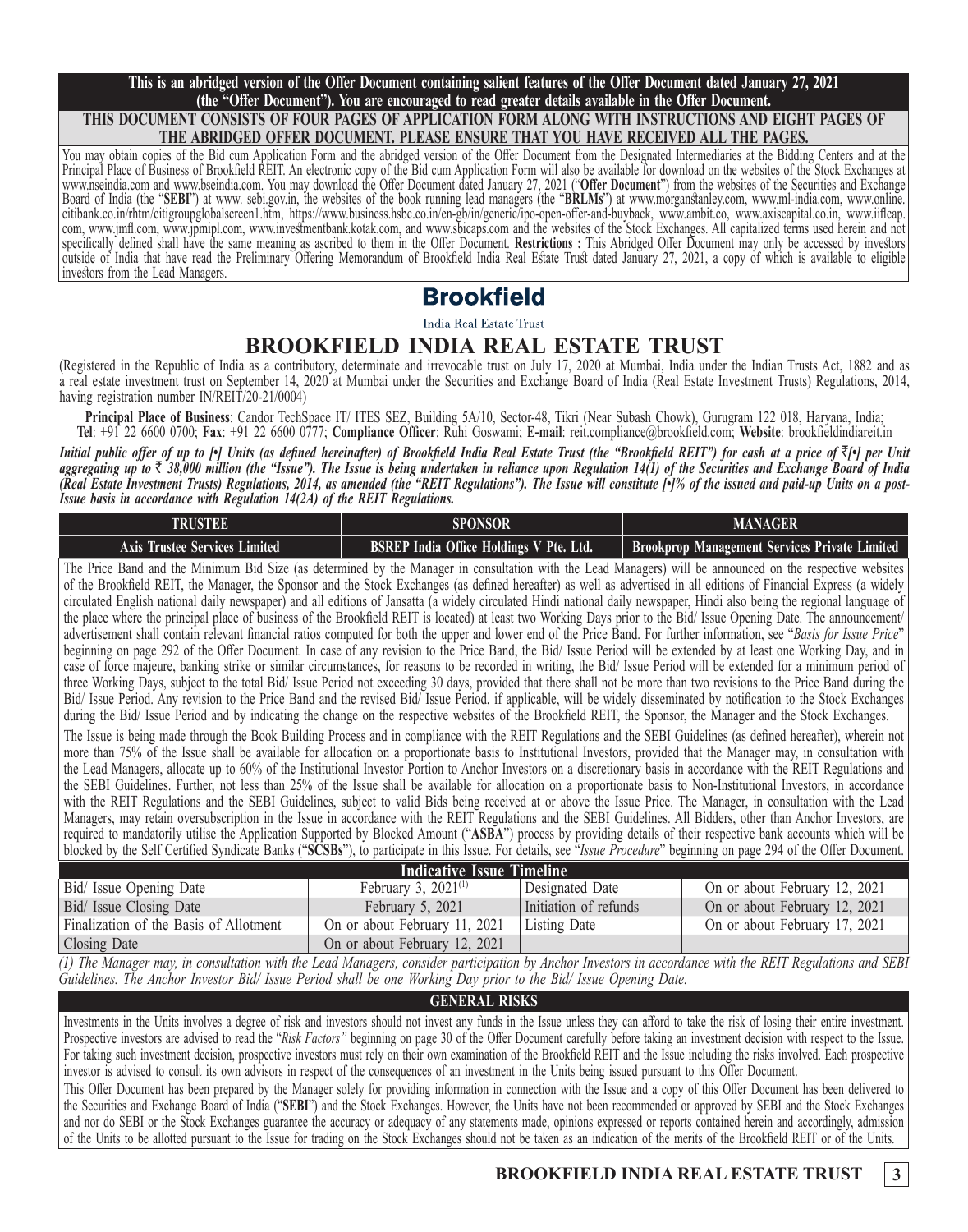**This is an abridged version of the Offer Document containing salient features of the Offer Document dated January 27, 2021 (the "Offer Document"). You are encouraged to read greater details available in the Offer Document.**

#### **THIS DOCUMENT CONSISTS OF FOUR PAGES OF APPLICATION FORM ALONG WITH INSTRUCTIONS AND EIGHT PAGES OF THE ABRIDGED OFFER DOCUMENT. PLEASE ENSURE THAT YOU HAVE RECEIVED ALL THE PAGES.**

You may obtain copies of the Bid cum Application Form and the abridged version of the Offer Document from the Designated Intermediaries at the Bidding Centers and at the Principal Place of Business of Brookfield REIT. An electronic copy of the Bid cum Application Form will also be available for download on the websites of the Stock Exchanges at www.nseindia.com and www.bseindia.com. You may download the Offer Document dated January 27, 2021 ("Offer Document") from the websites of the Securities and Exchange<br>Board of India (the "SEBI") at www. sebi.gov.in, the web citibank.co.in/rhtm/citigroupglobalscreen1.htm, https://www.business.hsbc.co.in/en-gb/in/generic/ipo-open-offer-and-buyback, www.ambit.co, www.axiscapital.co.in, www.iiflcap. com, www.jmfl.com, www.jpmipl.com, www.investmentbank.kotak.com, and www.sbicaps.com and the websites of the Stock Exchanges. All capitalized terms used herein and not specifically defined shall have the same meaning as ascribed to them in the Offer Document. Restrictions: This Abridged Offer Document may only be accessed by investors outside of India that have read the Preliminary Offer investors from the Lead Managers.

# **Brookfield**

India Real Estate Trust

# **BROOKFIELD INDIA REAL ESTATE TRUST**

(Registered in the Republic of India as a contributory, determinate and irrevocable trust on July 17, 2020 at Mumbai, India under the Indian Trusts Act, 1882 and as a real estate investment trust on September 14, 2020 at Mumbai under the Securities and Exchange Board of India (Real Estate Investment Trusts) Regulations, 2014, having registration number IN/REIT/20-21/0004)

**Principal Place of Business**: Candor TechSpace IT/ ITES SEZ, Building 5A/10, Sector-48, Tikri (Near Subash Chowk), Gurugram 122 018, Haryana, India; **Tel**: +91 22 6600 0700; **Fax**: +91 22 6600 0777; **Compliance Officer**: Ruhi Goswami; **E-mail**: reit.compliance@brookfield.com; **Website**: brookfieldindiareit.in

*Initial public offer of up to [•] Units (as defined hereinafter) of Brookfield India Real Estate Trust (the "Brookfield REIT") for cash at a price of* `*[•] per Unit aggregating up to* ` *38,000 million (the "Issue"). The Issue is being undertaken in reliance upon Regulation 14(1) of the Securities and Exchange Board of India (Real Estate Investment Trusts) Regulations, 2014, as amended (the "REIT Regulations"). The Issue will constitute [•]% of the issued and paid-up Units on a post-Issue basis in accordance with Regulation 14(2A) of the REIT Regulations.*

| <b>TRUSTER</b>                       | SPONSOR                                        | <b>MANAGER</b>                                       |
|--------------------------------------|------------------------------------------------|------------------------------------------------------|
| <b>Axis Trustee Services Limited</b> | <b>BSREP India Office Holdings V Pte. Ltd.</b> | <b>Brookprop Management Services Private Limited</b> |

The Price Band and the Minimum Bid Size (as determined by the Manager in consultation with the Lead Managers) will be announced on the respective websites of the Brookfield REIT, the Manager, the Sponsor and the Stock Exchanges (as defined hereafter) as well as advertised in all editions of Financial Express (a widely circulated English national daily newspaper) and all editions of Jansatta (a widely circulated Hindi national daily newspaper, Hindi also being the regional language of the place where the principal place of business of the Brookfield REIT is located) at least two Working Days prior to the Bid/ Issue Opening Date. The announcement/ advertisement shall contain relevant financial ratios computed for both the upper and lower end of the Price Band. For further information, see "*Basis for Issue Price*" beginning on page 292 of the Offer Document. In case of any revision to the Price Band, the Bid/ Issue Period will be extended by at least one Working Day, and in case of force majeure, banking strike or similar circumstances, for reasons to be recorded in writing, the Bid/ Issue Period will be extended for a minimum period of three Working Days, subject to the total Bid/ Issue Period not exceeding 30 days, provided that there shall not be more than two revisions to the Price Band during the Bid/ Issue Period. Any revision to the Price Band and the revised Bid/ Issue Period, if applicable, will be widely disseminated by notification to the Stock Exchanges during the Bid/ Issue Period and by indicating the change on the respective websites of the Brookfield REIT, the Sponsor, the Manager and the Stock Exchanges.

The Issue is being made through the Book Building Process and in compliance with the REIT Regulations and the SEBI Guidelines (as defined hereafter), wherein not more than 75% of the Issue shall be available for allocation on a proportionate basis to Institutional Investors, provided that the Manager may, in consultation with the Lead Managers, allocate up to 60% of the Institutional Investor Portion to Anchor Investors on a discretionary basis in accordance with the REIT Regulations and the SEBI Guidelines. Further, not less than 25% of the Issue shall be available for allocation on a proportionate basis to Non-Institutional Investors, in accordance with the REIT Regulations and the SEBI Guidelines, subject to valid Bids being received at or above the Issue Price. The Manager, in consultation with the Lead Managers, may retain oversubscription in the Issue in accordance with the REIT Regulations and the SEBI Guidelines. All Bidders, other than Anchor Investors, are required to mandatorily utilise the Application Supported by Blocked Amount ("**ASBA**") process by providing details of their respective bank accounts which will be blocked by the Self Certified Syndicate Banks ("**SCSBs**"), to participate in this Issue. For details, see "*Issue Procedure*" beginning on page 294 of the Offer Document.

|                                        | <b>Indicative Issue Timeline</b> |                       |                               |
|----------------------------------------|----------------------------------|-----------------------|-------------------------------|
| Bid/ Issue Opening Date                | February 3, $2021^{(1)}$         | Designated Date       | On or about February 12, 2021 |
| Bid/ Issue Closing Date                | February 5, 2021                 | Initiation of refunds | On or about February 12, 2021 |
| Finalization of the Basis of Allotment | On or about February 11, 2021    | Listing Date          | On or about February 17, 2021 |
| Closing Date                           | On or about February 12, 2021    |                       |                               |

*(1) The Manager may, in consultation with the Lead Managers, consider participation by Anchor Investors in accordance with the REIT Regulations and SEBI Guidelines. The Anchor Investor Bid/ Issue Period shall be one Working Day prior to the Bid/ Issue Opening Date.*

#### **GENERAL RISKS**

Investments in the Units involves a degree of risk and investors should not invest any funds in the Issue unless they can afford to take the risk of losing their entire investment. Prospective investors are advised to read the "*Risk Factors"* beginning on page 30 of the Offer Document carefully before taking an investment decision with respect to the Issue. For taking such investment decision, prospective investors must rely on their own examination of the Brookfield REIT and the Issue including the risks involved. Each prospective investor is advised to consult its own advisors in respect of the consequences of an investment in the Units being issued pursuant to this Offer Document.

This Offer Document has been prepared by the Manager solely for providing information in connection with the Issue and a copy of this Offer Document has been delivered to the Securities and Exchange Board of India ("**SEBI**") and the Stock Exchanges. However, the Units have not been recommended or approved by SEBI and the Stock Exchanges and nor do SEBI or the Stock Exchanges guarantee the accuracy or adequacy of any statements made, opinions expressed or reports contained herein and accordingly, admission of the Units to be allotted pursuant to the Issue for trading on the Stock Exchanges should not be taken as an indication of the merits of the Brookfield REIT or of the Units.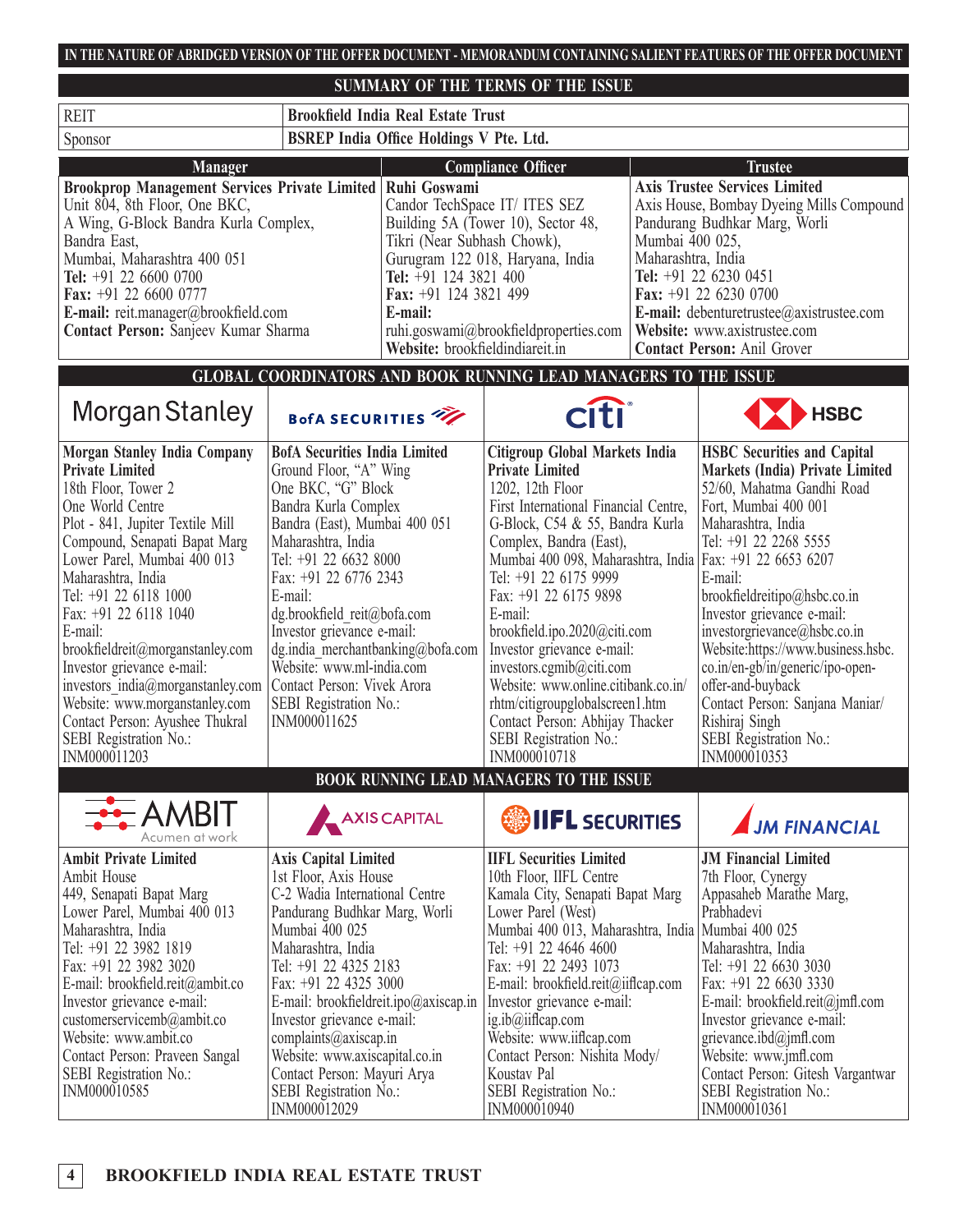# **SUMMARY OF THE TERMS OF THE ISSUE**

|--|

**Brookfield India Real Estate Trust** Sponsor **BSREP India Office Holdings V Pte. Ltd.**

| polisor                                                                                                                                                                                                                                                                                                                                                                                                                                                                                                               |                                                                                                                                                                                                                                                                                                                                                                                                                                          | DOKEF HIUR UHICE HORHINGS V FIE. LIU.                                                                                         |                                                                                                                                                                                                                                                                                                                                                                                                                                                                                                                                                |                                       |                                                                                                                                                                                                                                                                                                                                                                                                                                                                                                               |
|-----------------------------------------------------------------------------------------------------------------------------------------------------------------------------------------------------------------------------------------------------------------------------------------------------------------------------------------------------------------------------------------------------------------------------------------------------------------------------------------------------------------------|------------------------------------------------------------------------------------------------------------------------------------------------------------------------------------------------------------------------------------------------------------------------------------------------------------------------------------------------------------------------------------------------------------------------------------------|-------------------------------------------------------------------------------------------------------------------------------|------------------------------------------------------------------------------------------------------------------------------------------------------------------------------------------------------------------------------------------------------------------------------------------------------------------------------------------------------------------------------------------------------------------------------------------------------------------------------------------------------------------------------------------------|---------------------------------------|---------------------------------------------------------------------------------------------------------------------------------------------------------------------------------------------------------------------------------------------------------------------------------------------------------------------------------------------------------------------------------------------------------------------------------------------------------------------------------------------------------------|
| Manager                                                                                                                                                                                                                                                                                                                                                                                                                                                                                                               |                                                                                                                                                                                                                                                                                                                                                                                                                                          |                                                                                                                               | <b>Compliance Officer</b>                                                                                                                                                                                                                                                                                                                                                                                                                                                                                                                      |                                       | <b>Trustee</b>                                                                                                                                                                                                                                                                                                                                                                                                                                                                                                |
| Brookprop Management Services Private Limited   Ruhi Goswami<br>Unit 804, 8th Floor, One BKC,<br>A Wing, G-Block Bandra Kurla Complex,<br>Bandra East,<br>Mumbai, Maharashtra 400 051<br>Tel: +91 22 6600 0700<br>Fax: +91 22 6600 0777<br>E-mail: reit.manager@brookfield.com<br>Contact Person: Sanjeev Kumar Sharma                                                                                                                                                                                                |                                                                                                                                                                                                                                                                                                                                                                                                                                          | Tikri (Near Subhash Chowk),<br>Tel: $+91$ 124 3821 400<br>Fax: +91 124 3821 499<br>E-mail:<br>Website: brookfieldindiareit.in | Candor TechSpace IT/ ITES SEZ<br>Building 5A (Tower 10), Sector 48,<br>Gurugram 122 018, Haryana, India<br>ruhi.goswami@brookfieldproperties.com                                                                                                                                                                                                                                                                                                                                                                                               | Mumbai 400 025,<br>Maharashtra, India | <b>Axis Trustee Services Limited</b><br>Axis House, Bombay Dyeing Mills Compound<br>Pandurang Budhkar Marg, Worli<br>Tel: $+91$ 22 6230 0451<br>Fax: +91 22 6230 0700<br>E-mail: debenturetrustee@axistrustee.com<br>Website: www.axistrustee.com<br><b>Contact Person: Anil Grover</b>                                                                                                                                                                                                                       |
|                                                                                                                                                                                                                                                                                                                                                                                                                                                                                                                       |                                                                                                                                                                                                                                                                                                                                                                                                                                          |                                                                                                                               | GLOBAL COORDINATORS AND BOOK RUNNING LEAD MANAGERS TO THE ISSUE                                                                                                                                                                                                                                                                                                                                                                                                                                                                                |                                       |                                                                                                                                                                                                                                                                                                                                                                                                                                                                                                               |
| Morgan Stanley                                                                                                                                                                                                                                                                                                                                                                                                                                                                                                        | <b>BofA SECURITIES</b>                                                                                                                                                                                                                                                                                                                                                                                                                   |                                                                                                                               | <b>Citi</b>                                                                                                                                                                                                                                                                                                                                                                                                                                                                                                                                    |                                       | <b>HSBC</b>                                                                                                                                                                                                                                                                                                                                                                                                                                                                                                   |
| <b>Morgan Stanley India Company</b><br><b>Private Limited</b><br>18th Floor, Tower 2<br>One World Centre<br>Plot - 841, Jupiter Textile Mill<br>Compound, Senapati Bapat Marg<br>Lower Parel, Mumbai 400 013<br>Maharashtra, India<br>Tel: +91 22 6118 1000<br>Fax: +91 22 6118 1040<br>E-mail:<br>brookfieldreit@morganstanley.com<br>Investor grievance e-mail:<br>investors india@morganstanley.com<br>Website: www.morganstanley.com<br>Contact Person: Ayushee Thukral<br>SEBI Registration No.:<br>INM000011203 | <b>BofA Securities India Limited</b><br>Ground Floor, "A" Wing<br>One BKC, "G" Block<br>Bandra Kurla Complex<br>Bandra (East), Mumbai 400 051<br>Maharashtra, India<br>Tel: +91 22 6632 8000<br>Fax: +91 22 6776 2343<br>E-mail:<br>dg.brookfield reit@bofa.com<br>Investor grievance e-mail:<br>dg.india merchantbanking@bofa.com<br>Website: www.ml-india.com<br>Contact Person: Vivek Arora<br>SEBI Registration No.:<br>INM000011625 |                                                                                                                               | <b>Citigroup Global Markets India</b><br><b>Private Limited</b><br>1202, 12th Floor<br>First International Financial Centre,<br>G-Block, C54 & 55, Bandra Kurla<br>Complex, Bandra (East),<br>Mumbai 400 098, Maharashtra, India<br>Tel: +91 22 6175 9999<br>Fax: +91 22 6175 9898<br>E-mail:<br>brookfield.ipo.2020@citi.com<br>Investor grievance e-mail:<br>investors.cgmib@citi.com<br>Website: www.online.citibank.co.in/<br>rhtm/citigroupglobalscreen1.htm<br>Contact Person: Abhijay Thacker<br>SEBI Registration No.:<br>INM000010718 |                                       | <b>HSBC</b> Securities and Capital<br>Markets (India) Private Limited<br>52/60, Mahatma Gandhi Road<br>Fort, Mumbai 400 001<br>Maharashtra, India<br>Tel: +91 22 2268 5555<br>Fax: +91 22 6653 6207<br>E-mail:<br>brookfieldreitipo@hsbc.co.in<br>Investor grievance e-mail:<br>investographic vance@hsbc.co.in<br>Website:https://www.business.hsbc.<br>co.in/en-gb/in/generic/ipo-open-<br>offer-and-buyback<br>Contact Person: Sanjana Maniar/<br>Rishiraj Singh<br>SEBI Registration No.:<br>INM000010353 |
|                                                                                                                                                                                                                                                                                                                                                                                                                                                                                                                       |                                                                                                                                                                                                                                                                                                                                                                                                                                          |                                                                                                                               | BOOK RUNNING LEAD MANAGERS TO THE ISSUE                                                                                                                                                                                                                                                                                                                                                                                                                                                                                                        |                                       |                                                                                                                                                                                                                                                                                                                                                                                                                                                                                                               |
| Acumen at work                                                                                                                                                                                                                                                                                                                                                                                                                                                                                                        | <b>AXIS CAPITAL</b>                                                                                                                                                                                                                                                                                                                                                                                                                      |                                                                                                                               | <b>IIFL SECURITIES</b>                                                                                                                                                                                                                                                                                                                                                                                                                                                                                                                         |                                       | <b>JM FINANCIAL</b>                                                                                                                                                                                                                                                                                                                                                                                                                                                                                           |
| <b>Ambit Private Limited</b><br>Ambit House<br>449, Senapati Bapat Marg<br>Lower Parel, Mumbai 400 013<br>Maharashtra, India<br>Tel: +91 22 3982 1819<br>Fax: +91 22 3982 3020<br>E-mail: brookfield.reit@ambit.co<br>Investor grievance e-mail:<br>customerservicemb@ambit.co<br>Website: www.ambit.co<br>Contact Person: Praveen Sangal<br>SEBI Registration No.:<br>INM000010585                                                                                                                                   | <b>Axis Capital Limited</b><br>1st Floor, Axis House<br>C-2 Wadia International Centre<br>Pandurang Budhkar Marg, Worli<br>Mumbai 400 025<br>Maharashtra, India<br>Tel: +91 22 4325 2183<br>Fax: $+91$ 22 4325 3000<br>E-mail: brookfieldreit.ipo@axiscap.in<br>Investor grievance e-mail:<br>complaints@axiscap.in<br>Website: www.axiscapital.co.in<br>Contact Person: Mayuri Arya<br>SEBI Registration No.:                           |                                                                                                                               | <b>IIFL Securities Limited</b><br>10th Floor, IIFL Centre<br>Kamala City, Senapati Bapat Marg<br>Lower Parel (West)<br>Mumbai 400 013, Maharashtra, India<br>Tel: +91 22 4646 4600<br>Fax: +91 22 2493 1073<br>E-mail: brookfield.reit@iiflcap.com<br>Investor grievance e-mail:<br>ig.ib@iificap.com<br>Website: www.iiflcap.com<br>Contact Person: Nishita Mody/<br>Koustav Pal<br>SEBI Registration No.:                                                                                                                                    |                                       | <b>JM Financial Limited</b><br>7th Floor, Cynergy<br>Appasaheb Marathe Marg,<br>Prabhadevi<br>Mumbai 400 025<br>Maharashtra, India<br>Tel: +91 22 6630 3030<br>Fax: $+91$ 22 6630 3330<br>E-mail: brookfield.reit@jmfl.com<br>Investor grievance e-mail:<br>grievance.ibd $@j$ mfl.com<br>Website: www.jmfl.com<br>Contact Person: Gitesh Vargantwar<br>SEBI Registration No.:                                                                                                                                |

INM000010940

INM000010361

INM000012029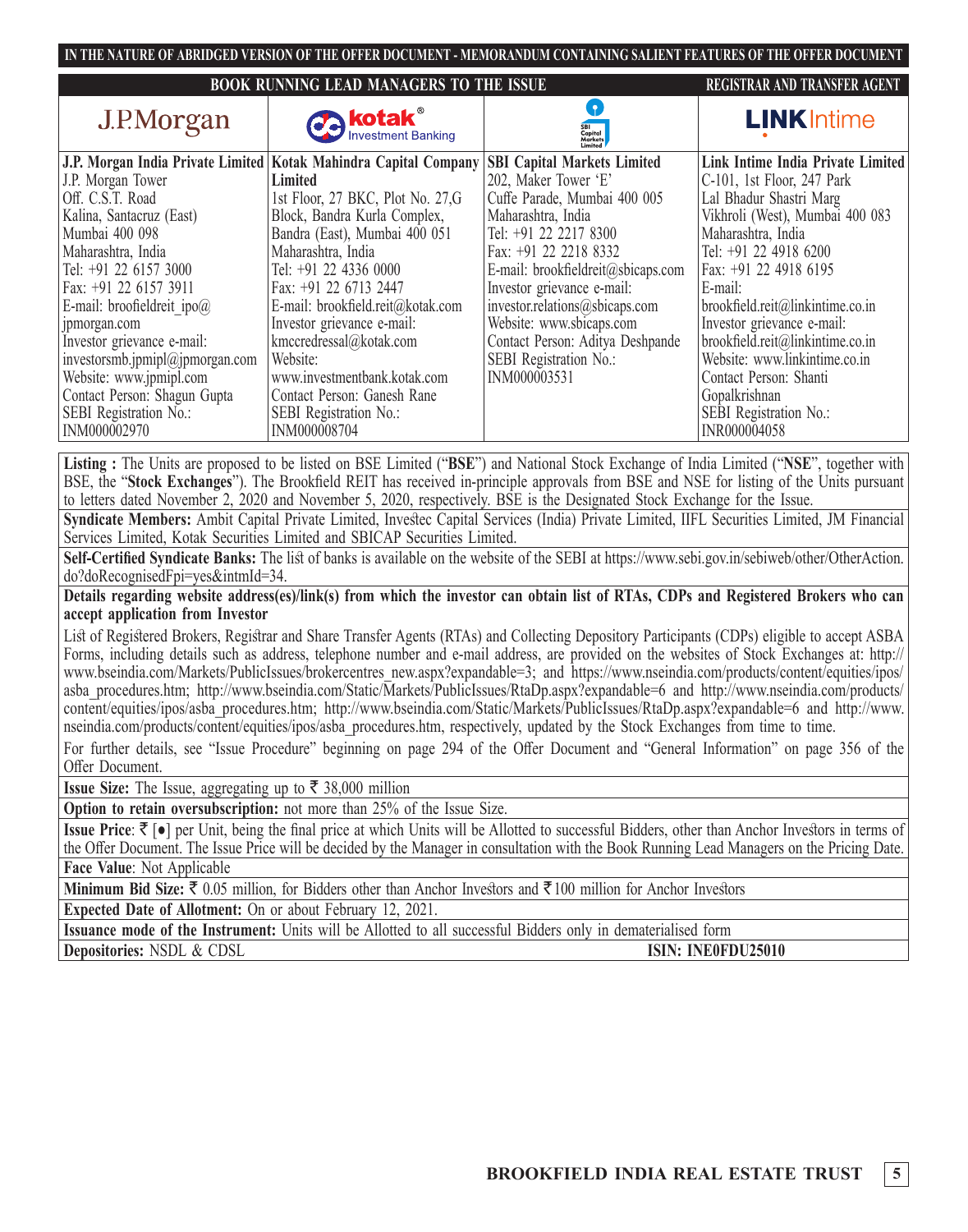#### **BOOK RUNNING LEAD MANAGERS TO THE ISSUE REGISTRAR AND TRANSFER AGENT** O J.P.Morgan **kotak® LINK**Intime SBI<br>Capital<br>Markets<br>Limited Investment Banking **J.P. Morgan India Private Limited SBI Capital Markets Limited Kotak Mahindra Capital Company Link Intime India Private Limited** J.P. Morgan Tower **Limited** 202, Maker Tower 'E' C-101, 1st Floor, 247 Park Off. C.S.T. Road 1st Floor, 27 BKC, Plot No. 27,G Cuffe Parade, Mumbai 400 005 Lal Bhadur Shastri Marg Vikhroli (West), Mumbai 400 083 Kalina, Santacruz (East) Block, Bandra Kurla Complex, Maharashtra, India Mumbai 400 098 Bandra (East), Mumbai 400 051 Tel: +91 22 2217 8300 Maharashtra, India Maharashtra, India Fax: +91 22 2218 8332 Tel: +91 22 4918 6200 Maharashtra, India Tel: +91 22 6157 3000 Tel: +91 22 4336 0000 E-mail: brookfieldreit@sbicaps.com Fax: +91 22 4918 6195 Fax: +91 22 6157 3911 Fax: +91 22 6713 2447 Investor grievance e-mail: E-mail: E-mail: broofieldreit  $ipo@$ E-mail: brookfield.reit@kotak.com investor.relations@sbicaps.com brookfield.reit@linkintime.co.in jpmorgan.com Investor grievance e-mail: Website: www.sbicaps.com Investor grievance e-mail: kmccredressal@kotak.com Contact Person: Aditya Deshpande Investor grievance e-mail: brookfield.reit@linkintime.co.in investorsmb.jpmipl@jpmorgan.com Website: SEBI Registration No.: Website: www.linkintime.co.in www.investmentbank.kotak.com INM000003531 Contact Person: Shanti Website: www.jpmipl.com Contact Person: Shagun Gupta Contact Person: Ganesh Rane Gopalkrishnan SEBI Registration No.: SEBI Registration No.: SEBI Registration No.: INM000002970 INM000008704 INR000004058

**Listing :** The Units are proposed to be listed on BSE Limited ("**BSE**") and National Stock Exchange of India Limited ("**NSE**", together with BSE, the "**Stock Exchanges**"). The Brookfield REIT has received in-principle approvals from BSE and NSE for listing of the Units pursuant to letters dated November 2, 2020 and November 5, 2020, respectively. BSE is the Designated Stock Exchange for the Issue.

**Syndicate Members:** Ambit Capital Private Limited, Investec Capital Services (India) Private Limited, IIFL Securities Limited, JM Financial Services Limited, Kotak Securities Limited and SBICAP Securities Limited.

**Self-Certified Syndicate Banks:** The list of banks is available on the website of the SEBI at https://www.sebi.gov.in/sebiweb/other/OtherAction. do?doRecognisedFpi=yes&intmId=34.

**Details regarding website address(es)/link(s) from which the investor can obtain list of RTAs, CDPs and Registered Brokers who can accept application from Investor**

List of Registered Brokers, Registrar and Share Transfer Agents (RTAs) and Collecting Depository Participants (CDPs) eligible to accept ASBA Forms, including details such as address, telephone number and e-mail address, are provided on the websites of Stock Exchanges at: http:// www.bseindia.com/Markets/PublicIssues/brokercentres\_new.aspx?expandable=3; and https://www.nseindia.com/products/content/equities/ipos/ asba\_procedures.htm; http://www.bseindia.com/Static/Markets/PublicIssues/RtaDp.aspx?expandable=6 and http://www.nseindia.com/products/ content/equities/ipos/asba\_procedures.htm; http://www.bseindia.com/Static/Markets/PublicIssues/RtaDp.aspx?expandable=6 and http://www. nseindia.com/products/content/equities/ipos/asba\_procedures.htm, respectively, updated by the Stock Exchanges from time to time.

For further details, see "Issue Procedure" beginning on page 294 of the Offer Document and "General Information" on page 356 of the Offer Document.

**Issue Size:** The Issue, aggregating up to  $\bar{\xi}$  38,000 million

**Option to retain oversubscription:** not more than 25% of the Issue Size.

**Issue Price**: ₹ [•] per Unit, being the final price at which Units will be Allotted to successful Bidders, other than Anchor Investors in terms of the Offer Document. The Issue Price will be decided by the Manager in consultation with the Book Running Lead Managers on the Pricing Date. **Face Value**: Not Applicable

**Minimum Bid Size:**  $\bar{\tau}$  0.05 million, for Bidders other than Anchor Investors and  $\bar{\tau}$  100 million for Anchor Investors

**Expected Date of Allotment:** On or about February 12, 2021.

**Issuance mode of the Instrument:** Units will be Allotted to all successful Bidders only in dematerialised form

**Depositories:** NSDL & CDSL **ISIN: INE0FDU25010**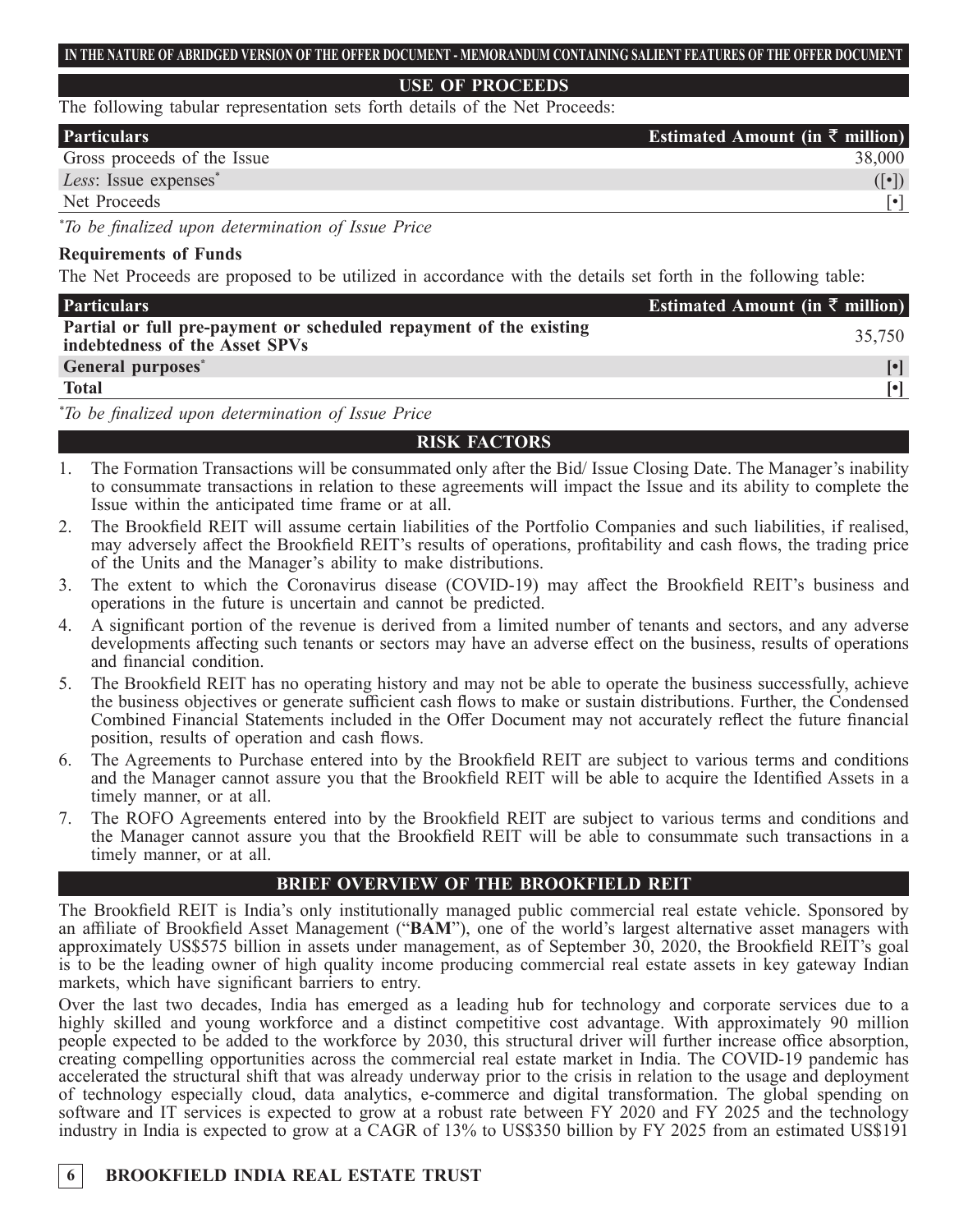#### **USE OF PROCEEDS**

The following tabular representation sets forth details of the Net Proceeds:

| Gross proceeds of the Issue       | 38,000 |
|-----------------------------------|--------|
| Less: Issue expenses <sup>*</sup> |        |
| Net Proceeds                      |        |

*\* To be finalized upon determination of Issue Price*

#### **Requirements of Funds**

The Net Proceeds are proposed to be utilized in accordance with the details set forth in the following table:

| <b>Particulars</b>                                                                                   | Estimated Amount (in $\bar{\tau}$ million) |
|------------------------------------------------------------------------------------------------------|--------------------------------------------|
| Partial or full pre-payment or scheduled repayment of the existing<br>indebtedness of the Asset SPVs | 35.750                                     |
| General purposes <sup>*</sup>                                                                        |                                            |
| <b>Total</b>                                                                                         |                                            |

*\* To be finalized upon determination of Issue Price*

## **RISK FACTORS**

- 1. The Formation Transactions will be consummated only after the Bid/ Issue Closing Date. The Manager's inability to consummate transactions in relation to these agreements will impact the Issue and its ability to complete the Issue within the anticipated time frame or at all.
- 2. The Brookfield REIT will assume certain liabilities of the Portfolio Companies and such liabilities, if realised, may adversely affect the Brookfield REIT's results of operations, profitability and cash flows, the trading price of the Units and the Manager's ability to make distributions.
- 3. The extent to which the Coronavirus disease (COVID-19) may affect the Brookfield REIT's business and operations in the future is uncertain and cannot be predicted.
- 4. A significant portion of the revenue is derived from a limited number of tenants and sectors, and any adverse developments affecting such tenants or sectors may have an adverse effect on the business, results of operations and financial condition.
- 5. The Brookfield REIT has no operating history and may not be able to operate the business successfully, achieve the business objectives or generate sufficient cash flows to make or sustain distributions. Further, the Condensed Combined Financial Statements included in the Offer Document may not accurately reflect the future financial position, results of operation and cash flows.
- 6. The Agreements to Purchase entered into by the Brookfield REIT are subject to various terms and conditions and the Manager cannot assure you that the Brookfield REIT will be able to acquire the Identified Assets in a timely manner, or at all.
- 7. The ROFO Agreements entered into by the Brookfield REIT are subject to various terms and conditions and the Manager cannot assure you that the Brookfield REIT will be able to consummate such transactions in a timely manner, or at all.

#### **BRIEF OVERVIEW OF THE BROOKFIELD REIT**

The Brookfield REIT is India's only institutionally managed public commercial real estate vehicle. Sponsored by an affiliate of Brookfield Asset Management ("**BAM**"), one of the world's largest alternative asset managers with approximately US\$575 billion in assets under management, as of September 30, 2020, the Brookfield REIT's goal is to be the leading owner of high quality income producing commercial real estate assets in key gateway Indian markets, which have significant barriers to entry.

Over the last two decades, India has emerged as a leading hub for technology and corporate services due to a highly skilled and young workforce and a distinct competitive cost advantage. With approximately 90 million people expected to be added to the workforce by 2030, this structural driver will further increase office absorption, creating compelling opportunities across the commercial real estate market in India. The COVID-19 pandemic has accelerated the structural shift that was already underway prior to the crisis in relation to the usage and deployment of technology especially cloud, data analytics, e-commerce and digital transformation. The global spending on software and IT services is expected to grow at a robust rate between FY 2020 and FY 2025 and the technology industry in India is expected to grow at a CAGR of 13% to US\$350 billion by FY 2025 from an estimated US\$191

# **6 BROOKFIELD INDIA REAL ESTATE TRUST**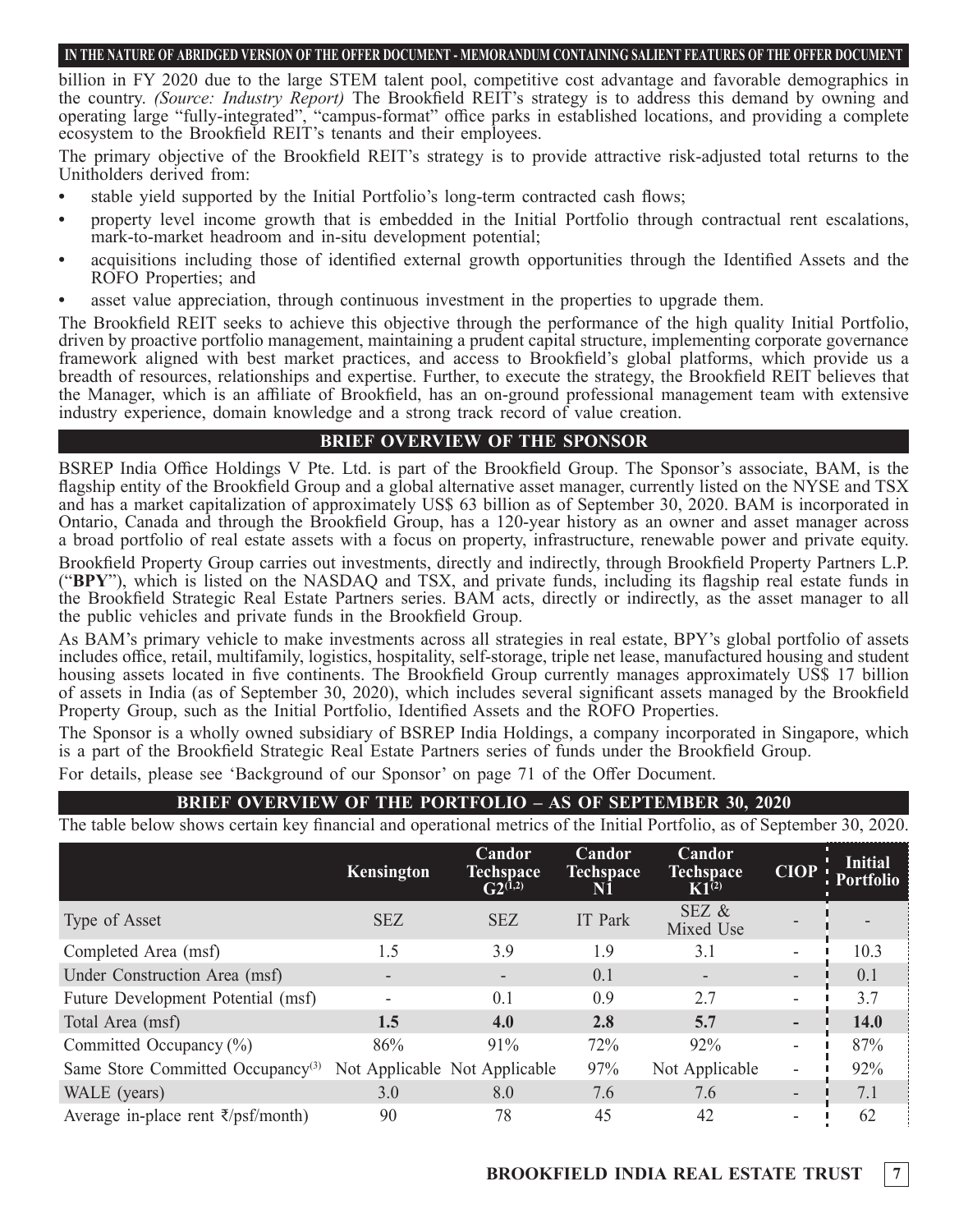billion in FY 2020 due to the large STEM talent pool, competitive cost advantage and favorable demographics in the country. *(Source: Industry Report)* The Brookfield REIT's strategy is to address this demand by owning and operating large "fully-integrated", "campus-format" office parks in established locations, and providing a complete ecosystem to the Brookfield REIT's tenants and their employees.

The primary objective of the Brookfield REIT's strategy is to provide attractive risk-adjusted total returns to the Unitholders derived from:

- **•** stable yield supported by the Initial Portfolio's long-term contracted cash flows;
- **•** property level income growth that is embedded in the Initial Portfolio through contractual rent escalations, mark-to-market headroom and in-situ development potential;
- **•** acquisitions including those of identified external growth opportunities through the Identified Assets and the ROFO Properties; and
- asset value appreciation, through continuous investment in the properties to upgrade them.

The Brookfield REIT seeks to achieve this objective through the performance of the high quality Initial Portfolio, driven by proactive portfolio management, maintaining a prudent capital structure, implementing corporate governance framework aligned with best market practices, and access to Brookfield's global platforms, which provide us a breadth of resources, relationships and expertise. Further, to execute the strategy, the Brookfield REIT believes that the Manager, which is an affiliate of Brookfield, has an on-ground professional management team with extensive industry experience, domain knowledge and a strong track record of value creation.

## **BRIEF OVERVIEW OF THE SPONSOR**

BSREP India Office Holdings V Pte. Ltd. is part of the Brookfield Group. The Sponsor's associate, BAM, is the flagship entity of the Brookfield Group and a global alternative asset manager, currently listed on the NYSE and TSX and has a market capitalization of approximately US\$ 63 billion as of September 30, 2020. BAM is incorporated in Ontario, Canada and through the Brookfield Group, has a 120-year history as an owner and asset manager across a broad portfolio of real estate assets with a focus on property, infrastructure, renewable power and private equity. Brookfield Property Group carries out investments, directly and indirectly, through Brookfield Property Partners L.P. ("**BPY**"), which is listed on the NASDAQ and TSX, and private funds, including its flagship real estate funds in the Brookfield Strategic Real Estate Partners series. BAM acts, directly or indirectly, as the asset manager to all the public vehicles and private funds in the Brookfield Group.

As BAM's primary vehicle to make investments across all strategies in real estate, BPY's global portfolio of assets includes office, retail, multifamily, logistics, hospitality, self-storage, triple net lease, manufactured housing and student housing assets located in five continents. The Brookfield Group currently manages approximately US\$ 17 billion of assets in India (as of September 30, 2020), which includes several significant assets managed by the Brookfield Property Group, such as the Initial Portfolio, Identified Assets and the ROFO Properties.

The Sponsor is a wholly owned subsidiary of BSREP India Holdings, a company incorporated in Singapore, which is a part of the Brookfield Strategic Real Estate Partners series of funds under the Brookfield Group.

For details, please see 'Background of our Sponsor' on page 71 of the Offer Document.

# **BRIEF OVERVIEW OF THE PORTFOLIO – AS OF SEPTEMBER 30, 2020**

The table below shows certain key financial and operational metrics of the Initial Portfolio, as of September 30, 2020.

|                                                    | Kensington | Candor<br><b>Techspace</b><br>$G2^{(1,2)}$ | Candor<br><b>Techspace</b><br>N1 | Candor<br><b>Techspace</b><br>$K1^{(2)}$ | <b>CIOP</b> | <b>Initial</b><br><b>Portfolio</b> |
|----------------------------------------------------|------------|--------------------------------------------|----------------------------------|------------------------------------------|-------------|------------------------------------|
| Type of Asset                                      | <b>SEZ</b> | <b>SEZ</b>                                 | IT Park                          | SEZ &<br>Mixed Use                       |             |                                    |
| Completed Area (msf)                               | 1.5        | 3.9                                        | 1.9                              | 3.1                                      |             | 10.3                               |
| Under Construction Area (msf)                      |            |                                            | 0.1                              |                                          |             | 0.1                                |
| Future Development Potential (msf)                 |            | 0.1                                        | 0.9                              | 2.7                                      |             | 3.7                                |
| Total Area (msf)                                   | 1.5        | 4.0                                        | 2.8                              | 5.7                                      |             | <b>14.0</b>                        |
| Committed Occupancy $(\%)$                         | 86%        | 91%                                        | 72%                              | 92%                                      |             | 87%                                |
| Same Store Committed Occupancy <sup>(3)</sup>      |            | Not Applicable Not Applicable              | 97%                              | Not Applicable                           |             | 92%                                |
| WALE (years)                                       | 3.0        | 8.0                                        | 7.6                              | 7.6                                      |             | 7.1                                |
| Average in-place rent $\bar{\zeta}/\text{psf/mol}$ | 90         | 78                                         | 45                               | 42                                       |             | 62                                 |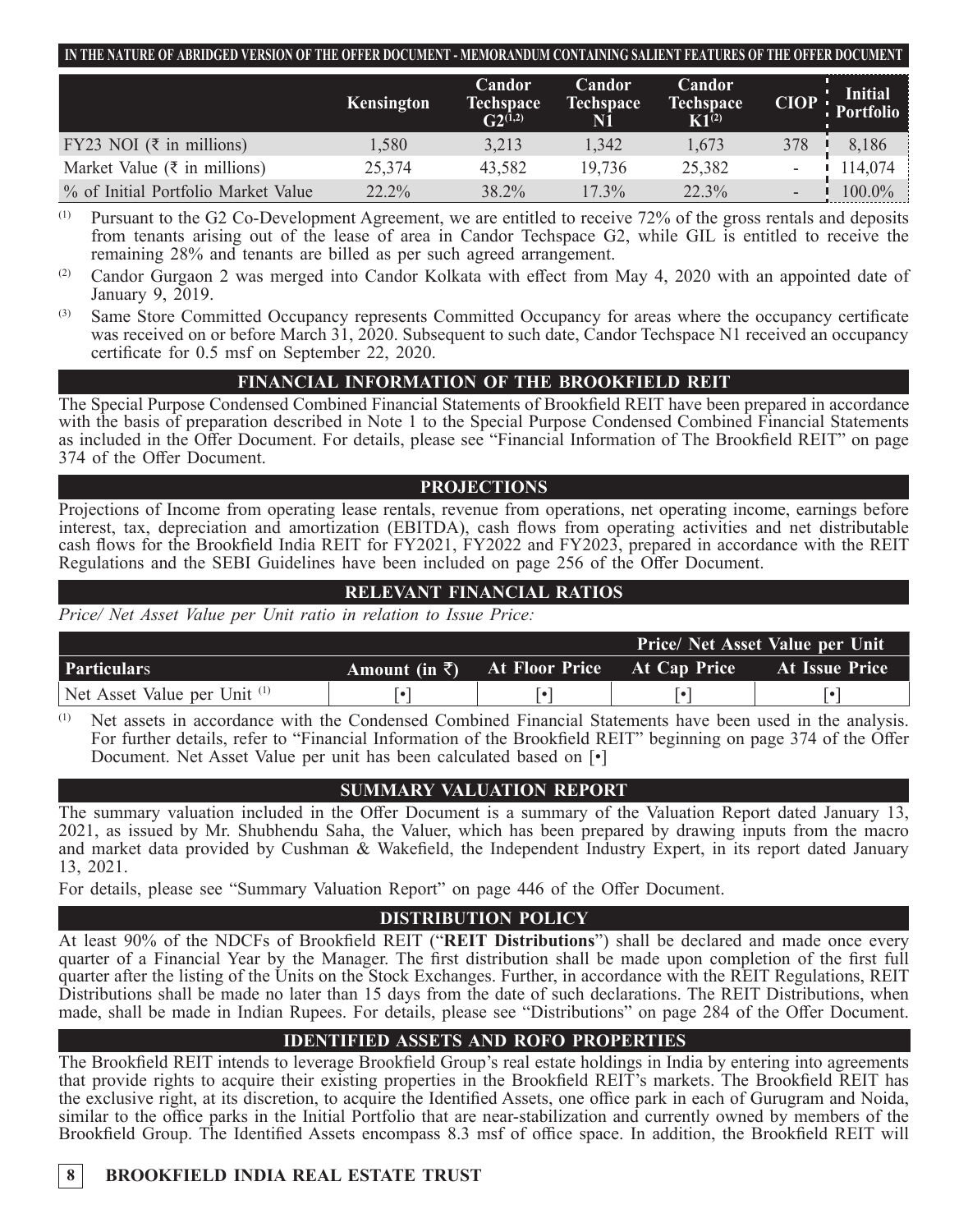|                                          | Kensington | Candor<br><b>Techspace</b><br>$\mathbf{G}2^{(1,2)}$ | Candor<br><b>Techspace</b><br>N1 | Candor<br><b>Techspace</b><br>$K1^{(2)}$ | <b>CIOP</b> | Initial<br>Portfolio |
|------------------------------------------|------------|-----------------------------------------------------|----------------------------------|------------------------------------------|-------------|----------------------|
| FY23 NOI ( $\bar{\tau}$ in millions)     | 1,580      | 3,213                                               | 1,342                            | 1,673                                    | 378         | 8,186                |
| Market Value ( $\bar{\tau}$ in millions) | 25,374     | 43,582                                              | 19,736                           | 25,382                                   |             | 114,074              |
| % of Initial Portfolio Market Value      | 22.2%      | 38.2%                                               | $17.3\%$                         | 22.3%                                    |             | $- 100.0\%$          |

(1) Pursuant to the G2 Co-Development Agreement, we are entitled to receive 72% of the gross rentals and deposits from tenants arising out of the lease of area in Candor Techspace G2, while GIL is entitled to receive the remaining 28% and tenants are billed as per such agreed arrangement.

- (2) Candor Gurgaon 2 was merged into Candor Kolkata with effect from May 4, 2020 with an appointed date of January 9, 2019.
- (3) Same Store Committed Occupancy represents Committed Occupancy for areas where the occupancy certificate was received on or before March 31, 2020. Subsequent to such date, Candor Techspace N1 received an occupancy certificate for 0.5 msf on September 22, 2020.

# **FINANCIAL INFORMATION OF THE BROOKFIELD REIT**

The Special Purpose Condensed Combined Financial Statements of Brookfield REIT have been prepared in accordance with the basis of preparation described in Note 1 to the Special Purpose Condensed Combined Financial Statements as included in the Offer Document. For details, please see "Financial Information of The Brookfield REIT" on page 374 of the Offer Document.

## **PROJECTIONS**

Projections of Income from operating lease rentals, revenue from operations, net operating income, earnings before interest, tax, depreciation and amortization (EBITDA), cash flows from operating activities and net distributable cash flows for the Brookfield India REIT for FY2021, FY2022 and FY2023, prepared in accordance with the REIT Regulations and the SEBI Guidelines have been included on page 256 of the Offer Document.

# **RELEVANT FINANCIAL RATIOS**

*Price/ Net Asset Value per Unit ratio in relation to Issue Price:*

|                              |                                                             | Price/ Net Asset Value per Unit |                       |  |
|------------------------------|-------------------------------------------------------------|---------------------------------|-----------------------|--|
| <b>Particulars</b>           | Amount (in $\overline{\zeta}$ ) At Floor Price At Cap Price |                                 | <b>At Issue Price</b> |  |
| Net Asset Value per Unit (1) |                                                             |                                 |                       |  |

(1) Net assets in accordance with the Condensed Combined Financial Statements have been used in the analysis. For further details, refer to "Financial Information of the Brookfield REIT" beginning on page 374 of the Offer Document. Net Asset Value per unit has been calculated based on [•]

# **SUMMARY VALUATION REPORT**

The summary valuation included in the Offer Document is a summary of the Valuation Report dated January 13, 2021, as issued by Mr. Shubhendu Saha, the Valuer, which has been prepared by drawing inputs from the macro and market data provided by Cushman & Wakefield, the Independent Industry Expert, in its report dated January 13, 2021.

For details, please see "Summary Valuation Report" on page 446 of the Offer Document.

# **DISTRIBUTION POLICY**

At least 90% of the NDCFs of Brookfield REIT ("**REIT Distributions**") shall be declared and made once every quarter of a Financial Year by the Manager. The first distribution shall be made upon completion of the first full quarter after the listing of the Units on the Stock Exchanges. Further, in accordance with the REIT Regulations, REIT Distributions shall be made no later than 15 days from the date of such declarations. The REIT Distributions, when made, shall be made in Indian Rupees. For details, please see "Distributions" on page 284 of the Offer Document.

# **IDENTIFIED ASSETS AND ROFO PROPERTIES**

The Brookfield REIT intends to leverage Brookfield Group's real estate holdings in India by entering into agreements that provide rights to acquire their existing properties in the Brookfield REIT's markets. The Brookfield REIT has the exclusive right, at its discretion, to acquire the Identified Assets, one office park in each of Gurugram and Noida, similar to the office parks in the Initial Portfolio that are near-stabilization and currently owned by members of the Brookfield Group. The Identified Assets encompass 8.3 msf of office space. In addition, the Brookfield REIT will

# **8 BROOKFIELD INDIA REAL ESTATE TRUST**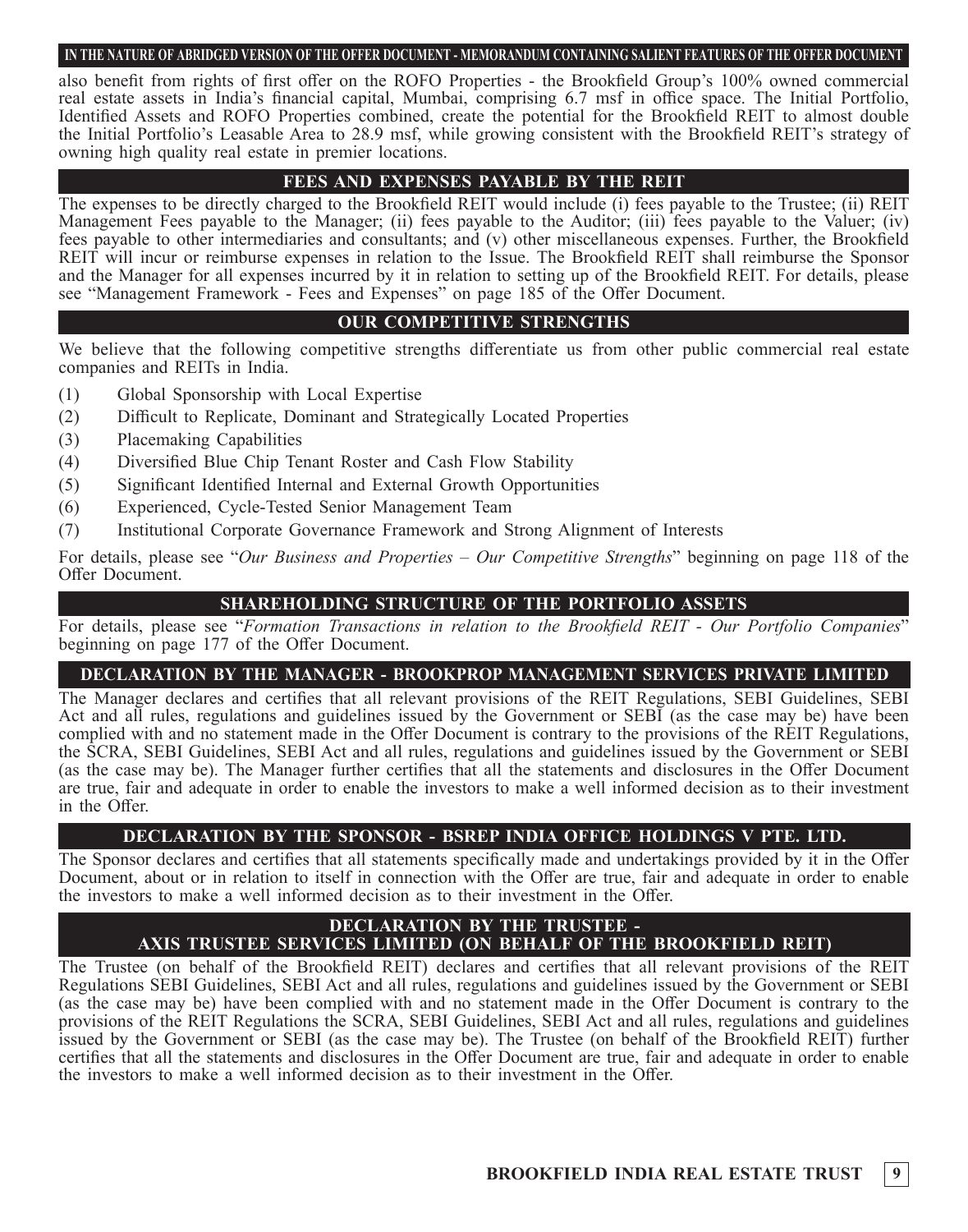also benefit from rights of first offer on the ROFO Properties - the Brookfield Group's 100% owned commercial real estate assets in India's financial capital, Mumbai, comprising 6.7 msf in office space. The Initial Portfolio, Identified Assets and ROFO Properties combined, create the potential for the Brookfield REIT to almost double the Initial Portfolio's Leasable Area to 28.9 msf, while growing consistent with the Brookfield REIT's strategy of owning high quality real estate in premier locations.

# **FEES AND EXPENSES PAYABLE BY THE REIT**

The expenses to be directly charged to the Brookfield REIT would include (i) fees payable to the Trustee; (ii) REIT Management Fees payable to the Manager; (ii) fees payable to the Auditor; (iii) fees payable to the Valuer; (iv) fees payable to other intermediaries and consultants; and (v) other miscellaneous expenses. Further, the Brookfield REIT will incur or reimburse expenses in relation to the Issue. The Brookfield REIT shall reimburse the Sponsor and the Manager for all expenses incurred by it in relation to setting up of the Brookfield REIT. For details, please see "Management Framework - Fees and Expenses" on page 185 of the Offer Document.

# **OUR COMPETITIVE STRENGTHS**

We believe that the following competitive strengths differentiate us from other public commercial real estate companies and REITs in India.

- (1) Global Sponsorship with Local Expertise
- (2) Difficult to Replicate, Dominant and Strategically Located Properties
- (3) Placemaking Capabilities
- (4) Diversified Blue Chip Tenant Roster and Cash Flow Stability
- (5) Significant Identified Internal and External Growth Opportunities
- (6) Experienced, Cycle-Tested Senior Management Team
- (7) Institutional Corporate Governance Framework and Strong Alignment of Interests

For details, please see "*Our Business and Properties – Our Competitive Strengths*" beginning on page 118 of the Offer Document.

## **SHAREHOLDING STRUCTURE OF THE PORTFOLIO ASSETS**

For details, please see "*Formation Transactions in relation to the Brookfield REIT - Our Portfolio Companies*" beginning on page 177 of the Offer Document.

# **DECLARATION BY THE MANAGER - BROOKPROP MANAGEMENT SERVICES PRIVATE LIMITED**

The Manager declares and certifies that all relevant provisions of the REIT Regulations, SEBI Guidelines, SEBI Act and all rules, regulations and guidelines issued by the Government or SEBI (as the case may be) have been complied with and no statement made in the Offer Document is contrary to the provisions of the REIT Regulations, the SCRA, SEBI Guidelines, SEBI Act and all rules, regulations and guidelines issued by the Government or SEBI (as the case may be). The Manager further certifies that all the statements and disclosures in the Offer Document are true, fair and adequate in order to enable the investors to make a well informed decision as to their investment in the Offer.

# **DECLARATION BY THE SPONSOR - BSREP INDIA OFFICE HOLDINGS V PTE. LTD.**

The Sponsor declares and certifies that all statements specifically made and undertakings provided by it in the Offer Document, about or in relation to itself in connection with the Offer are true, fair and adequate in order to enable the investors to make a well informed decision as to their investment in the Offer.

#### **DECLARATION BY THE TRUSTEE - AXIS TRUSTEE SERVICES LIMITED (ON BEHALF OF THE BROOKFIELD REIT)**

The Trustee (on behalf of the Brookfield REIT) declares and certifies that all relevant provisions of the REIT Regulations SEBI Guidelines, SEBI Act and all rules, regulations and guidelines issued by the Government or SEBI (as the case may be) have been complied with and no statement made in the Offer Document is contrary to the provisions of the REIT Regulations the SCRA, SEBI Guidelines, SEBI Act and all rules, regulations and guidelines issued by the Government or SEBI (as the case may be). The Trustee (on behalf of the Brookfield REIT) further certifies that all the statements and disclosures in the Offer Document are true, fair and adequate in order to enable the investors to make a well informed decision as to their investment in the Offer.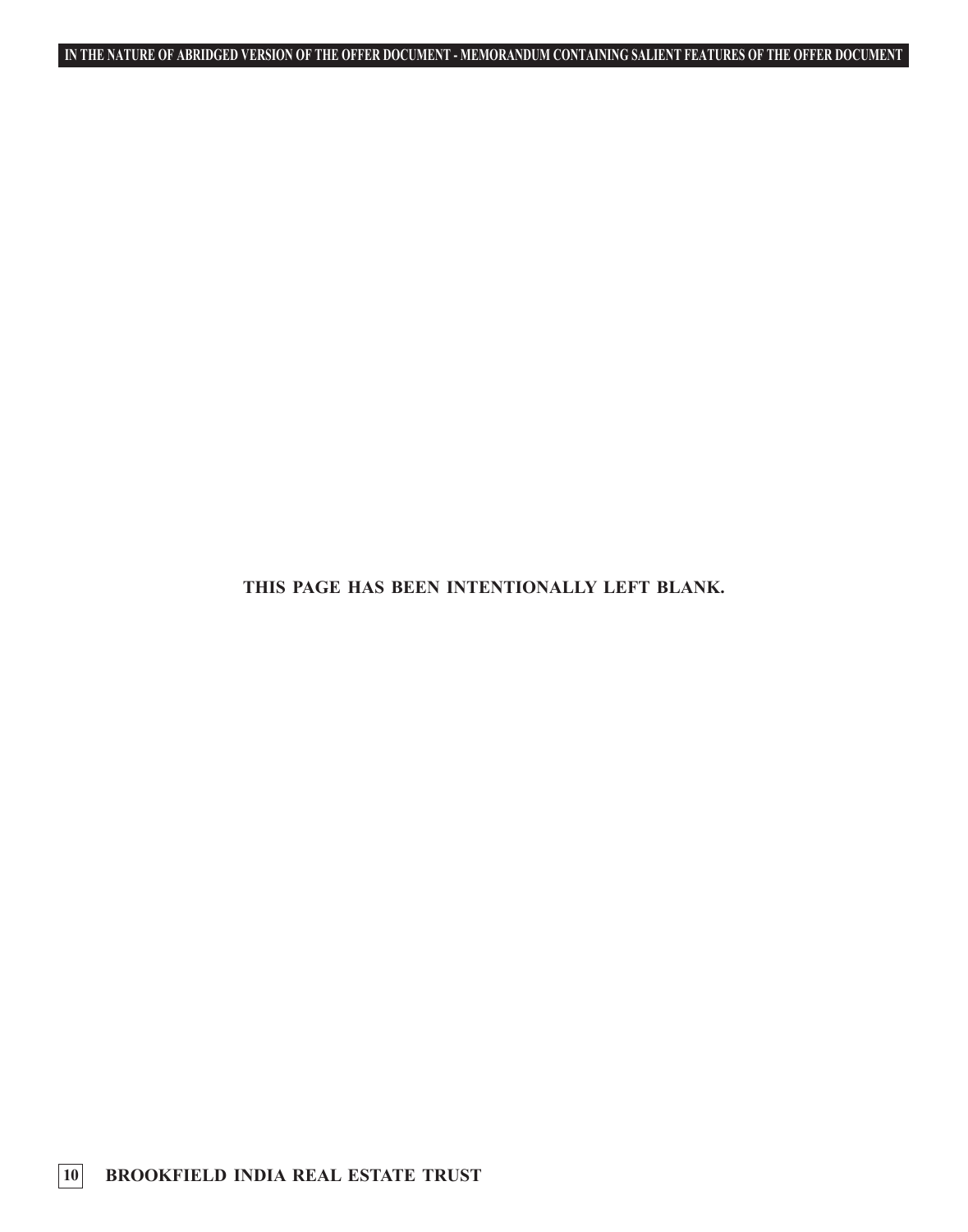**THIS PAGE HAS BEEN INTENTIONALLY LEFT BLANK.**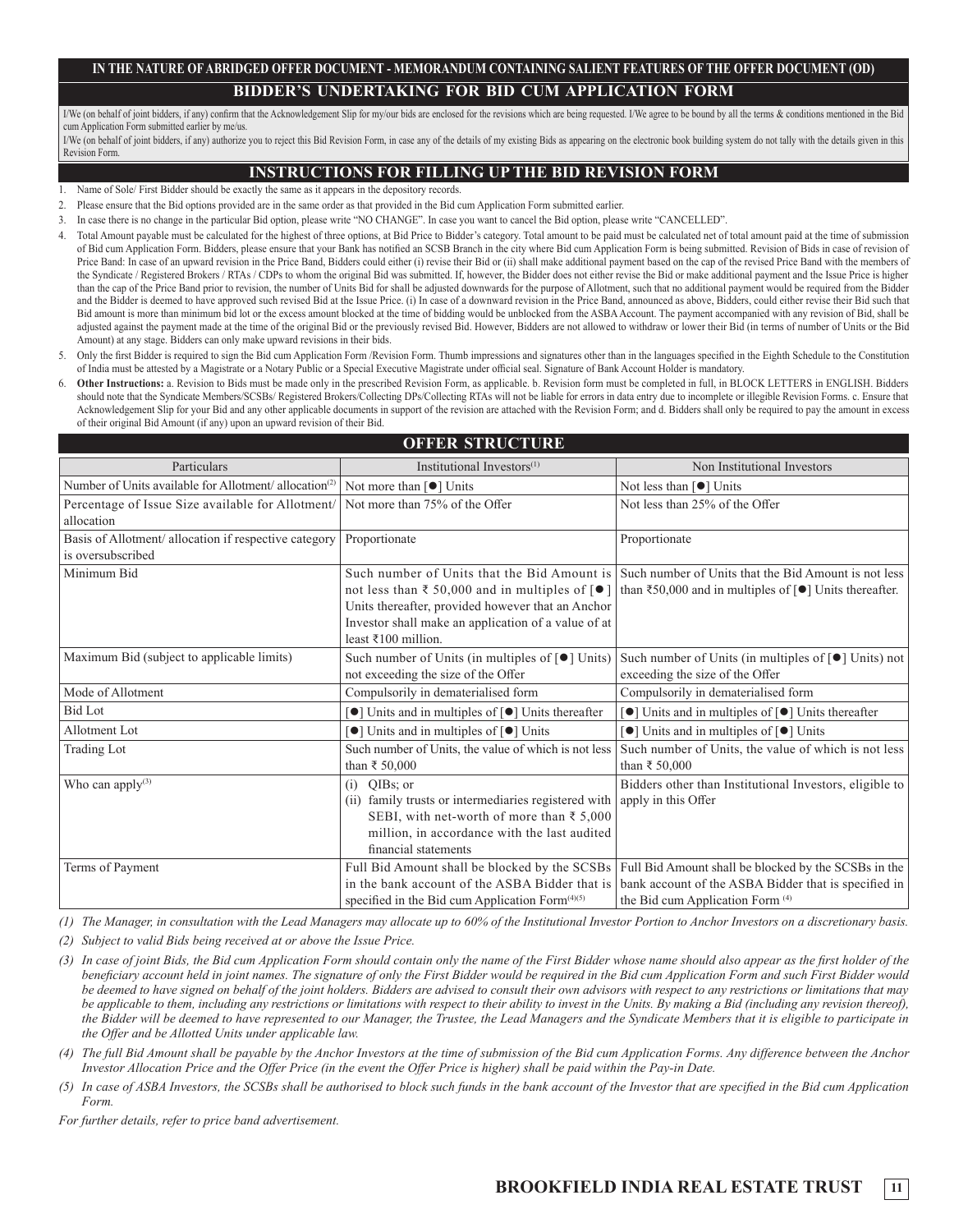#### **BIDDER'S UNDERTAKING FOR BID CUM APPLICATION FORM**

I/We (on behalf of joint bidders, if any) confirm that the Acknowledgement Slip for my/our bids are enclosed for the revisions which are being requested. I/We agree to be bound by all the terms & conditions mentioned in th cum Application Form submitted earlier by me/us.

I/We (on behalf of joint bidders, if any) authorize you to reject this Bid Revision Form, in case any of the details of my existing Bids as appearing on the electronic book building system do not tally with the details giv Revision Form.

#### **INSTRUCTIONS FOR FILLING UP THE BID REVISION FORM**

- 1. Name of Sole/ First Bidder should be exactly the same as it appears in the depository records.
- 2. Please ensure that the Bid options provided are in the same order as that provided in the Bid cum Application Form submitted earlier.
- 3. In case there is no change in the particular Bid option, please write "NO CHANGE". In case you want to cancel the Bid option, please write "CANCELLED".
- 4. Total Amount payable must be calculated for the highest of three options, at Bid Price to Bidder's category. Total amount to be paid must be calculated net of total amount paid at the time of submission of Bid cum Application Form. Bidders, please ensure that your Bank has notified an SCSB Branch in the city where Bid cum Application Form is being submitted. Revision of Bids in case of revision of Price Band: In case of an upward revision in the Price Band, Bidders could either (i) revise their Bid or (ii) shall make additional payment based on the cap of the revised Price Band with the members of the Syndicate / Registered Brokers / RTAs / CDPs to whom the original Bid was submitted. If, however, the Bidder does not either revise the Bid or make additional payment and the Issue Price is higher than the cap of the Price Band prior to revision, the number of Units Bid for shall be adjusted downwards for the purpose of Allotment, such that no additional payment would be required from the Bidder and the Bidder is deemed to have approved such revised Bid at the Issue Price. (i) In case of a downward revision in the Price Band, announced as above, Bidders, could either revise their Bid such that Bid amount is more than minimum bid lot or the excess amount blocked at the time of bidding would be unblocked from the ASBA Account. The payment accompanied with any revision of Bid, shall be adjusted against the payment made at the time of the original Bid or the previously revised Bid. However, Bidders are not allowed to withdraw or lower their Bid (in terms of number of Units or the Bid Amount) at any stage. Bidders can only make upward revisions in their bids.
- 5. Only the first Bidder is required to sign the Bid cum Application Form /Revision Form. Thumb impressions and signatures other than in the languages specified in the Eighth Schedule to the Constitution of India must be attested by a Magistrate or a Notary Public or a Special Executive Magistrate under official seal. Signature of Bank Account Holder is mandatory.
- 6. **Other Instructions:** a. Revision to Bids must be made only in the prescribed Revision Form, as applicable. b. Revision form must be completed in full, in BLOCK LETTERS in ENGLISH. Bidders should note that the Syndicate Members/SCSBs/ Registered Brokers/Collecting DPs/Collecting RTAs will not be liable for errors in data entry due to incomplete or illegible Revision Forms. c. Ensure that Acknowledgement Slip for your Bid and any other applicable documents in support of the revision are attached with the Revision Form; and d. Bidders shall only be required to pay the amount in excess of their original Bid Amount (if any) upon an upward revision of their Bid.

#### **OFFER STRUCTURE**

| Particulars                                                                | Institutional Investors $(1)$                                                                                                                                                                                                                                  | Non Institutional Investors                                                                                                                                 |
|----------------------------------------------------------------------------|----------------------------------------------------------------------------------------------------------------------------------------------------------------------------------------------------------------------------------------------------------------|-------------------------------------------------------------------------------------------------------------------------------------------------------------|
| Number of Units available for Allotment/ allocation <sup>(2)</sup>         | Not more than $\lceil \bullet \rceil$ Units                                                                                                                                                                                                                    | Not less than $[①]$ Units                                                                                                                                   |
| Percentage of Issue Size available for Allotment/<br>allocation            | Not more than 75% of the Offer                                                                                                                                                                                                                                 | Not less than 25% of the Offer                                                                                                                              |
| Basis of Allotment/ allocation if respective category<br>is oversubscribed | Proportionate                                                                                                                                                                                                                                                  | Proportionate                                                                                                                                               |
| Minimum Bid                                                                | Such number of Units that the Bid Amount is<br>not less than $\bar{\tau}$ 50,000 and in multiples of [ $\bullet$ ]<br>Units thereafter, provided however that an Anchor<br>Investor shall make an application of a value of at<br>least $\bar{x}$ 100 million. | Such number of Units that the Bid Amount is not less<br>than $\text{\textless}50,000$ and in multiples of $\text{\textless}$ Units thereafter.              |
| Maximum Bid (subject to applicable limits)                                 | Such number of Units (in multiples of $\lceil \bullet \rceil$ Units)<br>not exceeding the size of the Offer                                                                                                                                                    | Such number of Units (in multiples of $[①]$ Units) not<br>exceeding the size of the Offer                                                                   |
| Mode of Allotment                                                          | Compulsorily in dematerialised form                                                                                                                                                                                                                            | Compulsorily in dematerialised form                                                                                                                         |
| <b>Bid Lot</b>                                                             | $\lceil \bullet \rceil$ Units and in multiples of $\lceil \bullet \rceil$ Units thereafter                                                                                                                                                                     | [ $\bullet$ ] Units and in multiples of [ $\bullet$ ] Units thereafter                                                                                      |
| Allotment Lot                                                              | $\lceil \bullet \rceil$ Units and in multiples of $\lceil \bullet \rceil$ Units                                                                                                                                                                                | [ <sup>o</sup> ] Units and in multiples of [ <sup>o</sup> ] Units                                                                                           |
| <b>Trading Lot</b>                                                         | Such number of Units, the value of which is not less<br>than $\bar{\tau}$ 50,000                                                                                                                                                                               | Such number of Units, the value of which is not less<br>than ₹ 50,000                                                                                       |
| Who can apply $(3)$                                                        | OIBs; or<br>(i)<br>(ii) family trusts or intermediaries registered with<br>SEBI, with net-worth of more than $\bar{\tau}$ 5,000<br>million, in accordance with the last audited<br>financial statements                                                        | Bidders other than Institutional Investors, eligible to<br>apply in this Offer                                                                              |
| Terms of Payment                                                           | Full Bid Amount shall be blocked by the SCSBs<br>in the bank account of the ASBA Bidder that is<br>specified in the Bid cum Application Form <sup>(4)(5)</sup>                                                                                                 | Full Bid Amount shall be blocked by the SCSBs in the<br>bank account of the ASBA Bidder that is specified in<br>the Bid cum Application Form <sup>(4)</sup> |

*(1) The Manager, in consultation with the Lead Managers may allocate up to 60% of the Institutional Investor Portion to Anchor Investors on a discretionary basis.*

*(2) Subject to valid Bids being received at or above the Issue Price.*

- (3) In case of joint Bids, the Bid cum Application Form should contain only the name of the First Bidder whose name should also appear as the first holder of the beneficiary account held in joint names. The signature of only the First Bidder would be required in the Bid cum Application Form and such First Bidder would *be deemed to have signed on behalf of the joint holders. Bidders are advised to consult their own advisors with respect to any restrictions or limitations that may be applicable to them, including any restrictions or limitations with respect to their ability to invest in the Units. By making a Bid (including any revision thereof), the Bidder will be deemed to have represented to our Manager, the Trustee, the Lead Managers and the Syndicate Members that it is eligible to participate in the Offer and be Allotted Units under applicable law.*
- *(4) The full Bid Amount shall be payable by the Anchor Investors at the time of submission of the Bid cum Application Forms. Any difference between the Anchor Investor Allocation Price and the Offer Price (in the event the Offer Price is higher) shall be paid within the Pay-in Date.*
- (5) In case of ASBA Investors, the SCSBs shall be authorised to block such funds in the bank account of the Investor that are specified in the Bid cum Application *Form.*

*For further details, refer to price band advertisement.*